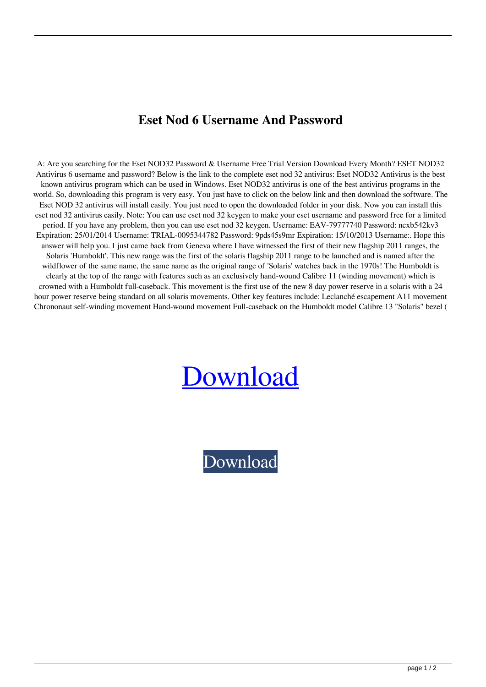## **Eset Nod 6 Username And Password**

A: Are you searching for the Eset NOD32 Password & Username Free Trial Version Download Every Month? ESET NOD32 Antivirus 6 username and password? Below is the link to the complete eset nod 32 antivirus: Eset NOD32 Antivirus is the best known antivirus program which can be used in Windows. Eset NOD32 antivirus is one of the best antivirus programs in the world. So, downloading this program is very easy. You just have to click on the below link and then download the software. The Eset NOD 32 antivirus will install easily. You just need to open the downloaded folder in your disk. Now you can install this eset nod 32 antivirus easily. Note: You can use eset nod 32 keygen to make your eset username and password free for a limited period. If you have any problem, then you can use eset nod 32 keygen. Username: EAV-79777740 Password: ncxb542kv3 Expiration: 25/01/2014 Username: TRIAL-0095344782 Password: 9pds45s9mr Expiration: 15/10/2013 Username:. Hope this answer will help you. I just came back from Geneva where I have witnessed the first of their new flagship 2011 ranges, the Solaris 'Humboldt'. This new range was the first of the solaris flagship 2011 range to be launched and is named after the wildflower of the same name, the same name as the original range of 'Solaris' watches back in the 1970s! The Humboldt is clearly at the top of the range with features such as an exclusively hand-wound Calibre 11 (winding movement) which is crowned with a Humboldt full-caseback. This movement is the first use of the new 8 day power reserve in a solaris with a 24 hour power reserve being standard on all solaris movements. Other key features include: Leclanché escapement A11 movement Chrononaut self-winding movement Hand-wound movement Full-caseback on the Humboldt model Calibre 13 "Solaris" bezel (

## [Download](http://evacdir.com/inexcusable/inwards/ZG93bmxvYWR8ZnI3TkhkMGZId3hOalV5TnpRd09EWTJmSHd5TlRjMGZId29UU2tnY21WaFpDMWliRzluSUZ0R1lYTjBJRWRGVGww?traumatic=audits..ZXNldCBub2QgNiB1c2VybmFtZSBhbmQgcGFzc3dvcmQZXN)

[Download](http://evacdir.com/inexcusable/inwards/ZG93bmxvYWR8ZnI3TkhkMGZId3hOalV5TnpRd09EWTJmSHd5TlRjMGZId29UU2tnY21WaFpDMWliRzluSUZ0R1lYTjBJRWRGVGww?traumatic=audits..ZXNldCBub2QgNiB1c2VybmFtZSBhbmQgcGFzc3dvcmQZXN)